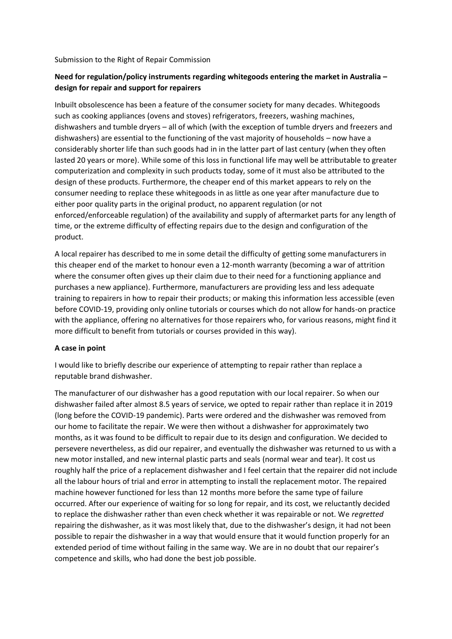Submission to the Right of Repair Commission

# **Need for regulation/policy instruments regarding whitegoods entering the market in Australia – design for repair and support for repairers**

Inbuilt obsolescence has been a feature of the consumer society for many decades. Whitegoods such as cooking appliances (ovens and stoves) refrigerators, freezers, washing machines, dishwashers and tumble dryers – all of which (with the exception of tumble dryers and freezers and dishwashers) are essential to the functioning of the vast majority of households – now have a considerably shorter life than such goods had in in the latter part of last century (when they often lasted 20 years or more). While some of this loss in functional life may well be attributable to greater computerization and complexity in such products today, some of it must also be attributed to the design of these products. Furthermore, the cheaper end of this market appears to rely on the consumer needing to replace these whitegoods in as little as one year after manufacture due to either poor quality parts in the original product, no apparent regulation (or not enforced/enforceable regulation) of the availability and supply of aftermarket parts for any length of time, or the extreme difficulty of effecting repairs due to the design and configuration of the product.

A local repairer has described to me in some detail the difficulty of getting some manufacturers in this cheaper end of the market to honour even a 12-month warranty (becoming a war of attrition where the consumer often gives up their claim due to their need for a functioning appliance and purchases a new appliance). Furthermore, manufacturers are providing less and less adequate training to repairers in how to repair their products; or making this information less accessible (even before COVID-19, providing only online tutorials or courses which do not allow for hands-on practice with the appliance, offering no alternatives for those repairers who, for various reasons, might find it more difficult to benefit from tutorials or courses provided in this way).

#### **A case in point**

I would like to briefly describe our experience of attempting to repair rather than replace a reputable brand dishwasher.

The manufacturer of our dishwasher has a good reputation with our local repairer. So when our dishwasher failed after almost 8.5 years of service, we opted to repair rather than replace it in 2019 (long before the COVID-19 pandemic). Parts were ordered and the dishwasher was removed from our home to facilitate the repair. We were then without a dishwasher for approximately two months, as it was found to be difficult to repair due to its design and configuration. We decided to persevere nevertheless, as did our repairer, and eventually the dishwasher was returned to us with a new motor installed, and new internal plastic parts and seals (normal wear and tear). It cost us roughly half the price of a replacement dishwasher and I feel certain that the repairer did not include all the labour hours of trial and error in attempting to install the replacement motor. The repaired machine however functioned for less than 12 months more before the same type of failure occurred. After our experience of waiting for so long for repair, and its cost, we reluctantly decided to replace the dishwasher rather than even check whether it was repairable or not. We *regretted* repairing the dishwasher, as it was most likely that, due to the dishwasher's design, it had not been possible to repair the dishwasher in a way that would ensure that it would function properly for an extended period of time without failing in the same way. We are in no doubt that our repairer's competence and skills, who had done the best job possible.